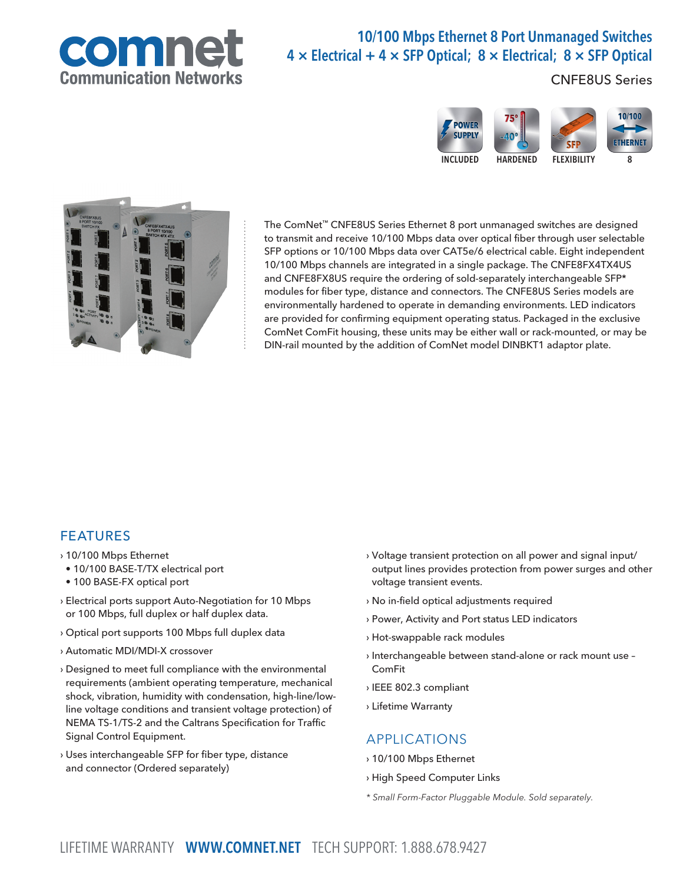

# 10/100 Mbps Ethernet 8 Port Unmanaged Switches  $4 \times$  Electrical + 4  $\times$  SFP Optical; 8  $\times$  Electrical; 8  $\times$  SFP Optical

CNFE8US Series





The ComNet™ CNFE8US Series Ethernet 8 port unmanaged switches are designed to transmit and receive 10/100 Mbps data over optical fiber through user selectable SFP options or 10/100 Mbps data over CAT5e/6 electrical cable. Eight independent 10/100 Mbps channels are integrated in a single package. The CNFE8FX4TX4US and CNFE8FX8US require the ordering of sold-separately interchangeable SFP\* modules for fiber type, distance and connectors. The CNFE8US Series models are environmentally hardened to operate in demanding environments. LED indicators are provided for confirming equipment operating status. Packaged in the exclusive ComNet ComFit housing, these units may be either wall or rack-mounted, or may be DIN-rail mounted by the addition of ComNet model DINBKT1 adaptor plate.

#### FEATURES

- › 10/100 Mbps Ethernet
- 10/100 BASE-T/TX electrical port
- 100 BASE-FX optical port
- › Electrical ports support Auto-Negotiation for 10 Mbps or 100 Mbps, full duplex or half duplex data.
- › Optical port supports 100 Mbps full duplex data
- › Automatic MDI/MDI-X crossover
- › Designed to meet full compliance with the environmental requirements (ambient operating temperature, mechanical shock, vibration, humidity with condensation, high-line/lowline voltage conditions and transient voltage protection) of NEMA TS-1/TS-2 and the Caltrans Specification for Traffic Signal Control Equipment.
- › Uses interchangeable SFP for fiber type, distance and connector (Ordered separately)
- › Voltage transient protection on all power and signal input/ output lines provides protection from power surges and other voltage transient events.
- › No in-field optical adjustments required
- › Power, Activity and Port status LED indicators
- › Hot-swappable rack modules
- › Interchangeable between stand-alone or rack mount use ComFit
- › IEEE 802.3 compliant
- › Lifetime Warranty

#### APPLICATIONS

- › 10/100 Mbps Ethernet
- › High Speed Computer Links
- \* Small Form-Factor Pluggable Module. Sold separately.